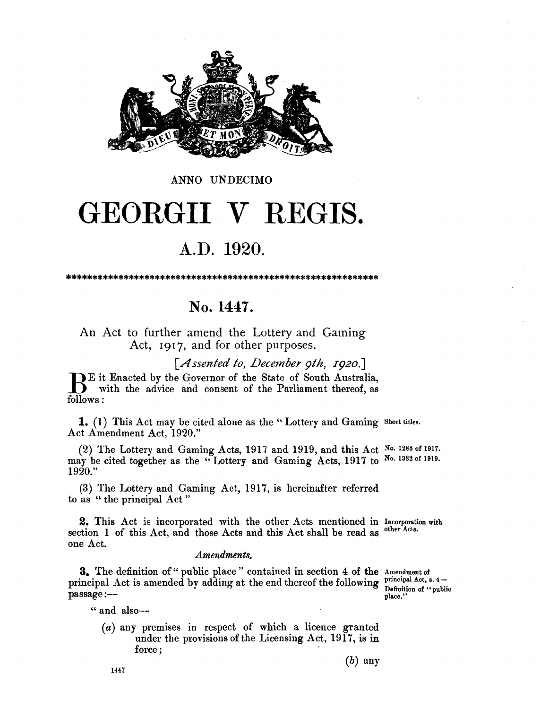

#### ANNO UNDECIMO

# GEORGII V REGIS.

## A.D. 1920.

### No. 1447.

An Act to further amend the Lottery and Gaming Act, 1917, and for other purposes.

[Assented to, December 9th, 1920.]

Example 1: Enacted by the Governor of the State of South Australia, with the advice and consent of the Parliament thereof, as follows:

1. (1) This Act may be cited alone as the "Lottery and Gaming Short titles. Act Amendment Act, 1920."

(2) The Lottery and Gaming Acts, 1917 and 1919, and this Act No. 1285 of 1917. may be cited together as the "Lottery and Gaming Acts, 1917 to No. 1382 of 1919. 1920."

(3) The Lottery and Gaming Act, 1917, is hereinafter referred to as "the principal Act"

2. This Act is incorporated with the other Acts mentioned in Incorporation with other Acts. section 1 of this Act, and those Acts and this Act shall be read as one Act.

#### **Amendments.**

3. The definition of "public place" contained in section 4 of the Amendment of principal Act is amended by adding at the end thereof the following principal Act, s. 4passage:--

Definition of "public place.'

" and also--

 $(a)$  any premises in respect of which a licence granted under the provisions of the Licensing Act, 1917, is in force:

1447

 $(b)$  any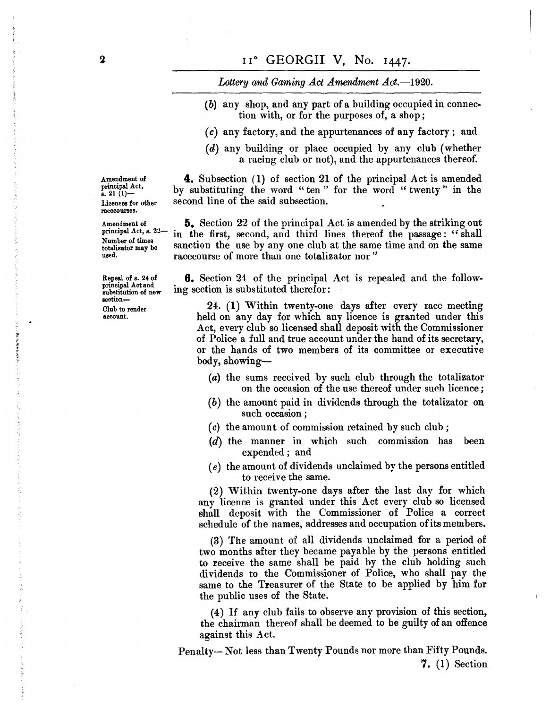Lottery and Gaming Act Amendment Act.-1920.

- (b) any shop, and any part of a building occupied in connection with, or for the purposes of, a shop;
- *(c)* any factory, and the appurtenances of any factory; and
- (d) any building or place occupied by any club (whether a racing club or not), and the appurtenances thereof.

**4.** Subsection (1) of section 21 of the principal Act is amended by substituting the word "ten" for the word "twenty" in the second line of the said subsection.

Amendment of  $\overline{5}$ . Section 22 of the principal Act is amended by the striking out principal Act, s.  $22-$  in the first, second, and third lines thereof the passage  $\cdot$  "shall principal Act, s.  $22-$  in the first, second, and third lines thereof the passage: "shall Number of times Number of times sanction the use by any one club at the same time and on the same used. racecourse of more than one totalizator nor "

> **6.** Section 24 of the principal Act is repealed and the following section is substituted therefor: $-$

24. (1) Within twenty-oue days after every race meeting held on any day for which any licence is granted under this Act, every club so licensed shall deposit with the Commissioner of Police a full and true account under the hand of its secretary, or the hands of two members of its committee or executive body, showing-

- (a) the sums received by such club through the totalizator on the occasion of the use thereof under such licence;
- *(b)* the amount paid in dividends through the totalizator on such occasion;
- *(c)* the amount of commission retained by such club;
- (d) the manner in which such commission has been expended; and
- *(e)* the amount of dividends unclaimed by the persons entitled to receive the same.

(2) Within twenty-one days after the last day for which any licence is granted under this Act every club so licensed shall deposit with the Commissioner of Police a correct schedule of the names, addresses and occupation of its members.

(3) The amount of all dividends unclaimed for a period of two months after they became payable by the persons entitled to receive the same shall be paid by the club holding such dividends to the Commissioner of Police, who shall pay the same to the Treasurer of the State to be applied by him for the public uses of the State.

(4) If any club fails to observe any provision of this section, the chairman thereof shall be deemed to be guilty of an offence against this Act.

Penalty-Not less than Twenty Pounds nor more than Fifty Pounds. **7.** (1) Section

Amendment of principal Act,<br>s. 21  $(1)$ -Licences for other racecourses.

Repeal of s. 24 of principal Act and substitution of new section-Club to render account.

**A SATISF WERE WERE TO BEEN**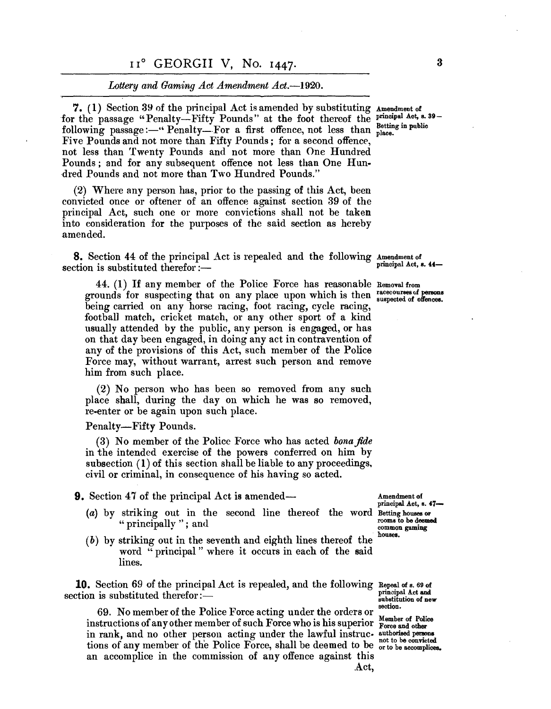#### *Lottery and Gaming Act Amendment Act.-1920.*

7. (1) Section 39 of the principal Act is amended by substituting Amendment of for the passage "Penalty-Fifty Pounds" at the foot thereof the principal Act, s. 39following passage :-" Penalty-For a first offence, not less than place. Five Pounds and not more than Fifty Pounds; for a second offence, not less than Twenty Pounds and not more than One Hundred Pounds; and for any subsequent offence not less than One Hundred Pounds and not more than Two Hundred Pounds."

(2) Where any person has, prior to the passing of this Act, been convicted once or oftener of an offence against section 39 of the principal Act, such one or more convictions shall not be taken into consideration for the purposes of the said section as hereby amended.

**8.** Section 44 of the principal Act is repealed and the following Amendment of principal Act, s. 44-<br>section is substituted therefor:-

44. (I) If any member of the Police Force has reasonable Removal from grounds for suspecting that on any place upon which is then racecourses of persons being carried on any house mains fact the time of the suspected of offences. being carried on any horse racing, foot racing, cycle racing, football match, cricket match, or any other sport of a kind usually attended by the public, any person is engaged, or has on that day been engaged, in doing any act in contravention of any of the provisions of this Act, such member of the Police Force may, without warrant, arrest such person and remove him from such place.

(2) No person who has been so removed from any such place shall, during the day on which he was so removed, re-enter or be again upon such place.

Penalty-Fifty Pounds.

(3) No member of the Police Force who has acted *bona fide*  in the intended exercise of the powers conferred on him by subsection (1) of this section shall be liable to any proceedings. civil or criminal, in consequence of his having so acted.

**9.** Section 47 of the principal Act is amended— Amendment of

- (a) by striking out in the second line thereof the word Betting houses or  $\alpha$  in principally ": and " principally "; and  $\frac{1}{2}$   $\frac{1}{2}$   $\frac{1}{2}$   $\frac{1}{2}$   $\frac{1}{2}$   $\frac{1}{2}$   $\frac{1}{2}$   $\frac{1}{2}$   $\frac{1}{2}$   $\frac{1}{2}$   $\frac{1}{2}$   $\frac{1}{2}$   $\frac{1}{2}$   $\frac{1}{2}$   $\frac{1}{2}$   $\frac{1}{2}$   $\frac{1}{2}$   $\frac{1}{2}$   $\frac{1}{2}$   $\frac{1}{2}$
- $(b)$  by striking out in the seventh and eighth lines thereof the houses. word "principal" where it occurs in each of the said lines.

**10.** Section 69 of the principal Act is repealed, and the following Repeal of s. 69 of <sup>t</sup>· . b t't t d th f prin(lipal Act and sec Ion IS su S 1 U e ere or: - 8ubstitution of new

69. No member of the Police Force acting under the orders or section. mstructions of any other member of such Force who is his superior Force and other instructions of any other member of such Force who is his superior Force and other in rank, and no other person acting under the lawful instruc. authorised persona the faith, and he concer person doing dinder the faithful filter at not to be convicted tions of any member of the Police Force, shall be deemed to be or to be accomplices. an accomplice in the commission of any offence against this

principal Act, s. 47-

A.ct,